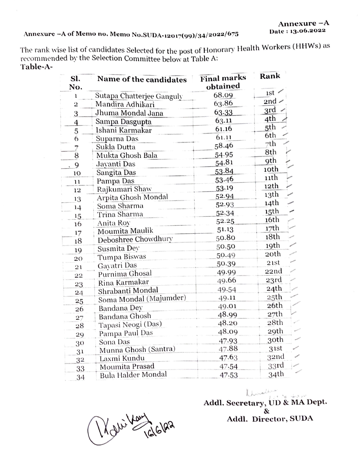## Annexure - A of Memo no. Memo No.SUDA-12017(99)/34/2022/675

The rank wise list of candidates Selected for the post of Honorary Health Workers (HHWs) as recommended by the Selection Committee below at Table A: Table-A-

| Sl.<br>No.              | <b>Name of the candidates</b> | <b>Final marks</b><br>obtained | Rank             |
|-------------------------|-------------------------------|--------------------------------|------------------|
| 1                       | Sutapa Chatterjee Ganguly     | 68.09                          | 1st              |
| $\overline{2}$          | Mandira Adhikari              | 63.86                          | 2nd $\geq$       |
| $\overline{\mathbf{3}}$ | Jhuma Mondal Jana             | 63.33                          | 3rd              |
| $\overline{4}$          | Sampa Dasgupta                | 63.11                          | 4th              |
| 5                       | Ishani Karmakar               | 61.16                          | 5th              |
| 6                       | Suparna Das                   | 61.11                          | 6th              |
| 7                       | Sukla Dutta                   | 58.46                          | 7th              |
| 8                       | Mukta Ghosh Bala              | 54.95                          | 8th              |
| 9                       | Jayanti Das                   | 54.81                          | 9th              |
| 10                      | Sangita Das                   | 53.84                          | 10th             |
| 11                      | Pampa Das                     | 53.46                          | 11th             |
| 12                      | Rajkumari Shaw                | 53.19                          | 12th             |
| 13                      | Arpita Ghosh Mondal           | 52.94                          | 13th             |
| 14                      | Soma Sharma                   | 52.93                          | 14th             |
| 15                      | Trina Sharma                  | 52.34                          | 15th             |
| 16                      | Anita Roy                     | 52.25                          | 16th             |
| 17                      | Moumita Maulik                | 51.13                          | 17th             |
| 18                      | Deboshree Chowdhury           | 50.80                          | 18th             |
| 19                      | Susmita Dey                   | 50.50                          | 19th             |
| 20                      | Tumpa Biswas                  | 50.49                          | 20th             |
| 21                      | Gayatri Das                   | 50.39                          | 21st             |
| 22                      | Purnima Ghosal                | 49.99                          | 22nd             |
| 23                      | Rina Karmakar                 | 49.66                          | 23rd             |
| 24                      | Shrabanti Mondal              | 49.54                          | 24th             |
| 25                      | Soma Mondal (Majumder)        | 49.11                          | 25 <sup>th</sup> |
| 26                      | Bandana Dey                   | 49.01                          | 26th             |
| 27                      | Bandana Ghosh                 | 48.99                          | 27th             |
| 28                      | Tapasi Neogi (Das)            | 48.20                          | 28th             |
| 29                      | Pampa Paul Das                | 48.09                          | 29th             |
| 30                      | Sona Das                      | 47.93                          | 30th             |
| 31                      | Munna Ghosh (Santra)          | 47.88                          | 31st             |
| 32                      | Laxmi Kundu                   | 47.63                          | 32nd             |
| 33                      | Moumita Prasad                | 47.54                          | 33rd<br>l e      |
| 34                      | Bula Halder Mondal            | 47.53                          | 34th             |

Addl. Secretary, UD & MA Dept.  $\mathbf{g}$ Addl. Director, SUDA

Wallis Vany